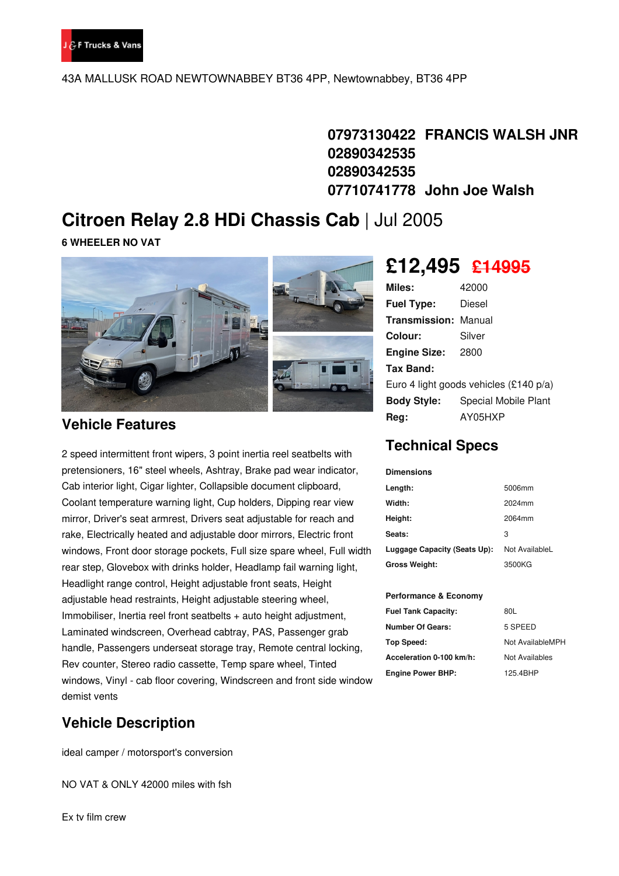

43A MALLUSK ROAD NEWTOWNABBEY BT36 4PP, Newtownabbey, BT36 4PP

**07973130422 FRANCIS WALSH JNR 02890342535 02890342535 07710741778 John Joe Walsh**

## **Citroen Relay 2.8 HDi Chassis Cab** | Jul 2005

**6 WHEELER NO VAT**



### **Vehicle Features**

2 speed intermittent front wipers, 3 point inertia reel seatbelts with pretensioners, 16" steel wheels, Ashtray, Brake pad wear indicator, Cab interior light, Cigar lighter, Collapsible document clipboard, Coolant temperature warning light, Cup holders, Dipping rear view mirror, Driver's seat armrest, Drivers seat adjustable for reach and rake, Electrically heated and adjustable door mirrors, Electric front windows, Front door storage pockets, Full size spare wheel, Full width rear step, Glovebox with drinks holder, Headlamp fail warning light, Headlight range control, Height adjustable front seats, Height adjustable head restraints, Height adjustable steering wheel, Immobiliser, Inertia reel front seatbelts + auto height adjustment, Laminated windscreen, Overhead cabtray, PAS, Passenger grab handle, Passengers underseat storage tray, Remote central locking, Rev counter, Stereo radio cassette, Temp spare wheel, Tinted windows, Vinyl - cab floor covering, Windscreen and front side window demist vents

## **Vehicle Description**

ideal camper / motorsport's conversion

NO VAT & ONLY 42000 miles with fsh

Ex tv film crew

# **£12,495 £14995**

| <b>Miles:</b>                            | 42000                |  |
|------------------------------------------|----------------------|--|
| <b>Fuel Type:</b>                        | Diesel               |  |
| <b>Transmission: Manual</b>              |                      |  |
| Colour:                                  | Silver               |  |
| <b>Engine Size:</b>                      | 2800                 |  |
| Tax Band:                                |                      |  |
| Euro 4 light goods vehicles $(£140 p/a)$ |                      |  |
| <b>Body Style:</b>                       | Special Mobile Plant |  |
| Rea:                                     | AY05HXP              |  |

## **Technical Specs**

| <b>Dimensions</b>            |                |
|------------------------------|----------------|
| Length:                      | 5006mm         |
| Width:                       | 2024mm         |
| Height:                      | 2064mm         |
| Seats:                       | 3              |
| Luggage Capacity (Seats Up): | Not AvailableL |
| <b>Gross Weight:</b>         | 3500KG         |

#### **Performance & Economy**

| <b>Fuel Tank Capacity:</b> | 80L              |
|----------------------------|------------------|
| Number Of Gears:           | 5 SPEED          |
| Top Speed:                 | Not AvailableMPH |
| Acceleration 0-100 km/h:   | Not Availables   |
| <b>Engine Power BHP:</b>   | 125.4BHP         |